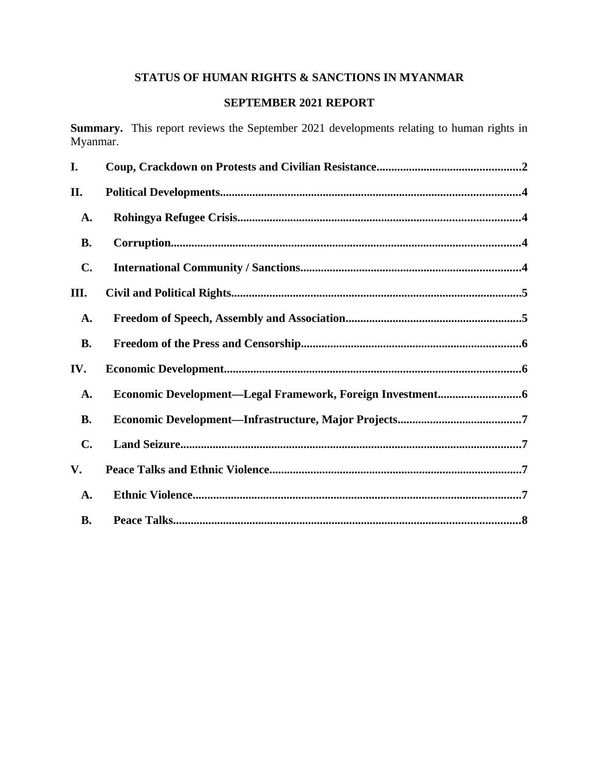# **STATUS OF HUMAN RIGHTS & SANCTIONS IN MYANMAR**

# **SEPTEMBER 2021 REPORT**

**Summary.** This report reviews the September 2021 developments relating to human rights in Myanmar.

| I.        |  |
|-----------|--|
| II.       |  |
| A.        |  |
| <b>B.</b> |  |
| C.        |  |
| III.      |  |
| A.        |  |
| <b>B.</b> |  |
| IV.       |  |
| A.        |  |
| <b>B.</b> |  |
| C.        |  |
| V.        |  |
| A.        |  |
| <b>B.</b> |  |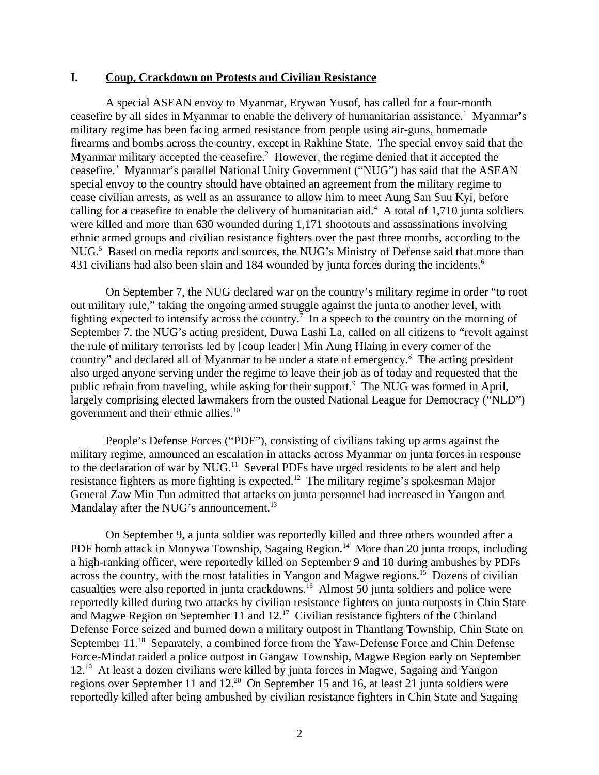#### <span id="page-1-0"></span>**I. Coup, Crackdown on Protests and Civilian Resistance**

A special ASEAN envoy to Myanmar, Erywan Yusof, has called for a four-month ceasefire by all sides in Myanmar to enable the delivery of humanitarian assistance.<sup>1</sup> Myanmar's military regime has been facing armed resistance from people using air-guns, homemade firearms and bombs across the country, except in Rakhine State. The special envoy said that the Myanmar military accepted the ceasefire.<sup>2</sup> However, the regime denied that it accepted the ceasefire.<sup>3</sup> Myanmar's parallel National Unity Government ("NUG") has said that the ASEAN special envoy to the country should have obtained an agreement from the military regime to cease civilian arrests, as well as an assurance to allow him to meet Aung San Suu Kyi, before calling for a ceasefire to enable the delivery of humanitarian aid. $4\,$  A total of 1,710 junta soldiers were killed and more than 630 wounded during 1,171 shootouts and assassinations involving ethnic armed groups and civilian resistance fighters over the past three months, according to the NUG.<sup>5</sup> Based on media reports and sources, the NUG's Ministry of Defense said that more than 431 civilians had also been slain and 184 wounded by junta forces during the incidents.<sup>6</sup>

On September 7, the NUG declared war on the country's military regime in order "to root out military rule," taking the ongoing armed struggle against the junta to another level, with fighting expected to intensify across the country.<sup>7</sup> In a speech to the country on the morning of September 7, the NUG's acting president, Duwa Lashi La, called on all citizens to "revolt against the rule of military terrorists led by [coup leader] Min Aung Hlaing in every corner of the country" and declared all of Myanmar to be under a state of emergency. $8$  The acting president also urged anyone serving under the regime to leave their job as of today and requested that the public refrain from traveling, while asking for their support.<sup>9</sup> The NUG was formed in April, largely comprising elected lawmakers from the ousted National League for Democracy ("NLD") government and their ethnic allies.<sup>10</sup>

People's Defense Forces ("PDF"), consisting of civilians taking up arms against the military regime, announced an escalation in attacks across Myanmar on junta forces in response to the declaration of war by NUG.<sup>11</sup> Several PDFs have urged residents to be alert and help resistance fighters as more fighting is expected.<sup>12</sup> The military regime's spokesman Major General Zaw Min Tun admitted that attacks on junta personnel had increased in Yangon and Mandalay after the NUG's announcement.<sup>13</sup>

On September 9, a junta soldier was reportedly killed and three others wounded after a PDF bomb attack in Monywa Township, Sagaing Region.<sup>14</sup> More than 20 junta troops, including a high-ranking officer, were reportedly killed on September 9 and 10 during ambushes by PDFs across the country, with the most fatalities in Yangon and Magwe regions.<sup>15</sup> Dozens of civilian casualties were also reported in junta crackdowns.<sup>16</sup> Almost 50 junta soldiers and police were reportedly killed during two attacks by civilian resistance fighters on junta outposts in Chin State and Magwe Region on September 11 and 12.<sup>17</sup> Civilian resistance fighters of the Chinland Defense Force seized and burned down a military outpost in Thantlang Township, Chin State on September 11.<sup>18</sup> Separately, a combined force from the Yaw-Defense Force and Chin Defense Force-Mindat raided a police outpost in Gangaw Township, Magwe Region early on September 12.<sup>19</sup> At least a dozen civilians were killed by junta forces in Magwe, Sagaing and Yangon regions over September 11 and 12.<sup>20</sup> On September 15 and 16, at least 21 junta soldiers were reportedly killed after being ambushed by civilian resistance fighters in Chin State and Sagaing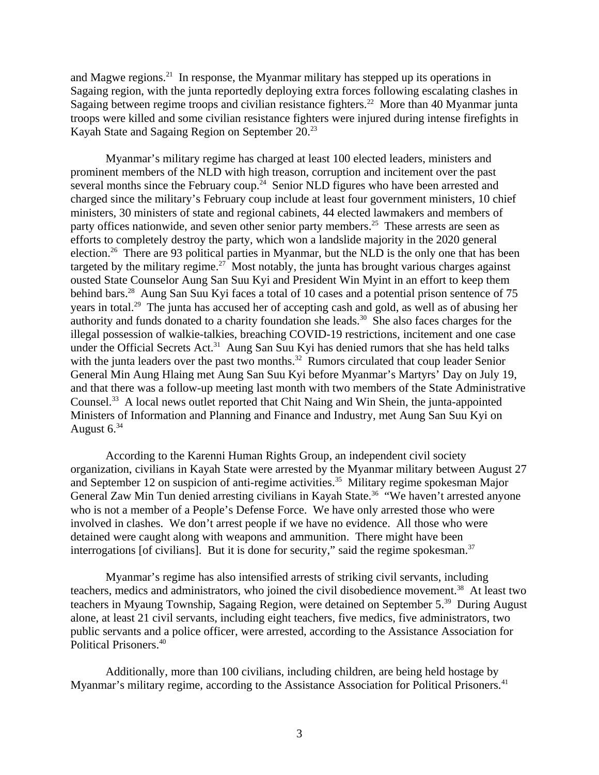and Magwe regions.<sup>21</sup> In response, the Myanmar military has stepped up its operations in Sagaing region, with the junta reportedly deploying extra forces following escalating clashes in Sagaing between regime troops and civilian resistance fighters.<sup>22</sup> More than 40 Myanmar junta troops were killed and some civilian resistance fighters were injured during intense firefights in Kayah State and Sagaing Region on September 20.<sup>23</sup>

Myanmar's military regime has charged at least 100 elected leaders, ministers and prominent members of the NLD with high treason, corruption and incitement over the past several months since the February coup.<sup>24</sup> Senior NLD figures who have been arrested and charged since the military's February coup include at least four government ministers, 10 chief ministers, 30 ministers of state and regional cabinets, 44 elected lawmakers and members of party offices nationwide, and seven other senior party members.<sup>25</sup> These arrests are seen as efforts to completely destroy the party, which won a landslide majority in the 2020 general election.<sup>26</sup> There are 93 political parties in Myanmar, but the NLD is the only one that has been targeted by the military regime.<sup>27</sup> Most notably, the junta has brought various charges against ousted State Counselor Aung San Suu Kyi and President Win Myint in an effort to keep them behind bars.<sup>28</sup> Aung San Suu Kyi faces a total of 10 cases and a potential prison sentence of 75 years in total.<sup>29</sup> The junta has accused her of accepting cash and gold, as well as of abusing her authority and funds donated to a charity foundation she leads.<sup>30</sup> She also faces charges for the illegal possession of walkie-talkies, breaching COVID-19 restrictions, incitement and one case under the Official Secrets Act.<sup>31</sup> Aung San Suu Kyi has denied rumors that she has held talks with the junta leaders over the past two months. $32$  Rumors circulated that coup leader Senior General Min Aung Hlaing met Aung San Suu Kyi before Myanmar's Martyrs' Day on July 19, and that there was a follow-up meeting last month with two members of the State Administrative Counsel.<sup>33</sup> A local news outlet reported that Chit Naing and Win Shein, the junta-appointed Ministers of Information and Planning and Finance and Industry, met Aung San Suu Kyi on August  $6^{34}$ 

According to the Karenni Human Rights Group, an independent civil society organization, civilians in Kayah State were arrested by the Myanmar military between August 27 and September 12 on suspicion of anti-regime activities.<sup>35</sup> Military regime spokesman Major General Zaw Min Tun denied arresting civilians in Kayah State.<sup>36</sup> "We haven't arrested anyone who is not a member of a People's Defense Force. We have only arrested those who were involved in clashes. We don't arrest people if we have no evidence. All those who were detained were caught along with weapons and ammunition. There might have been interrogations [of civilians]. But it is done for security," said the regime spokesman. $37$ 

Myanmar's regime has also intensified arrests of striking civil servants, including teachers, medics and administrators, who joined the civil disobedience movement.<sup>38</sup> At least two teachers in Myaung Township, Sagaing Region, were detained on September 5.<sup>39</sup> During August alone, at least 21 civil servants, including eight teachers, five medics, five administrators, two public servants and a police officer, were arrested, according to the Assistance Association for Political Prisoners.<sup>40</sup>

Additionally, more than 100 civilians, including children, are being held hostage by Myanmar's military regime, according to the Assistance Association for Political Prisoners.<sup>41</sup>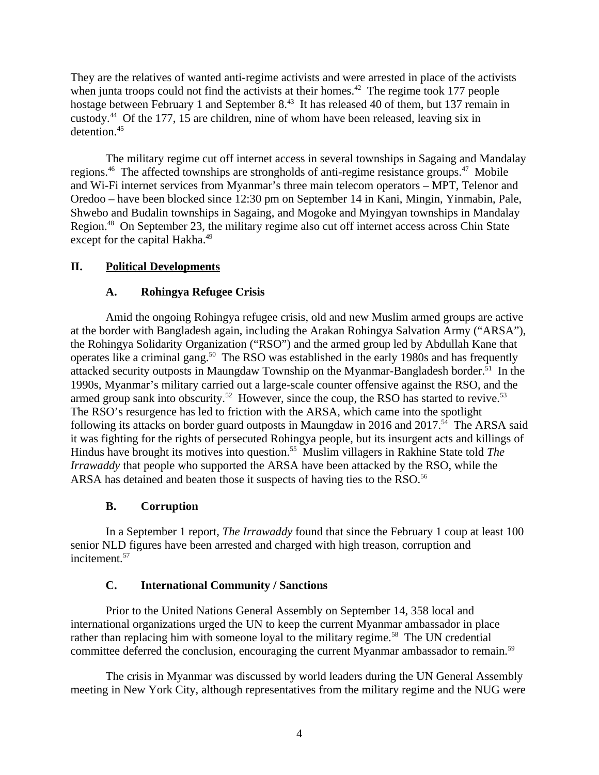They are the relatives of wanted anti-regime activists and were arrested in place of the activists when junta troops could not find the activists at their homes.<sup>42</sup> The regime took 177 people hostage between February 1 and September 8.<sup>43</sup> It has released 40 of them, but 137 remain in custody.<sup>44</sup> Of the 177, 15 are children, nine of whom have been released, leaving six in detention.<sup>45</sup>

The military regime cut off internet access in several townships in Sagaing and Mandalay regions.<sup>46</sup> The affected townships are strongholds of anti-regime resistance groups.<sup>47</sup> Mobile and Wi-Fi internet services from Myanmar's three main telecom operators – MPT, Telenor and Oredoo – have been blocked since 12:30 pm on September 14 in Kani, Mingin, Yinmabin, Pale, Shwebo and Budalin townships in Sagaing, and Mogoke and Myingyan townships in Mandalay Region.<sup>48</sup> On September 23, the military regime also cut off internet access across Chin State except for the capital Hakha.<sup>49</sup>

## **II. Political Developments**

### <span id="page-3-3"></span><span id="page-3-2"></span>**A. Rohingya Refugee Crisis**

Amid the ongoing Rohingya refugee crisis, old and new Muslim armed groups are active at the border with Bangladesh again, including the Arakan Rohingya Salvation Army ("ARSA"), the Rohingya Solidarity Organization ("RSO") and the armed group led by Abdullah Kane that operates like a criminal gang.<sup>50</sup> The RSO was established in the early 1980s and has frequently attacked security outposts in Maungdaw Township on the Myanmar-Bangladesh border.<sup>51</sup> In the 1990s, Myanmar's military carried out a large-scale counter offensive against the RSO, and the armed group sank into obscurity.<sup>52</sup> However, since the coup, the RSO has started to revive.<sup>53</sup> The RSO's resurgence has led to friction with the ARSA, which came into the spotlight following its attacks on border guard outposts in Maungdaw in 2016 and 2017.<sup>54</sup> The ARSA said it was fighting for the rights of persecuted Rohingya people, but its insurgent acts and killings of Hindus have brought its motives into question.<sup>55</sup> Muslim villagers in Rakhine State told The *Irrawaddy* that people who supported the ARSA have been attacked by the RSO, while the ARSA has detained and beaten those it suspects of having ties to the RSO.<sup>56</sup>

## <span id="page-3-1"></span>**B. Corruption**

In a September 1 report, *The Irrawaddy* found that since the February 1 coup at least 100 senior NLD figures have been arrested and charged with high treason, corruption and incitement.<sup>57</sup>

#### <span id="page-3-0"></span>**C. International Community / Sanctions**

Prior to the United Nations General Assembly on September 14, 358 local and international organizations urged the UN to keep the current Myanmar ambassador in place rather than replacing him with someone loyal to the military regime.<sup>58</sup> The UN credential committee deferred the conclusion, encouraging the current Myanmar ambassador to remain.<sup>59</sup>

The crisis in Myanmar was discussed by world leaders during the UN General Assembly meeting in New York City, although representatives from the military regime and the NUG were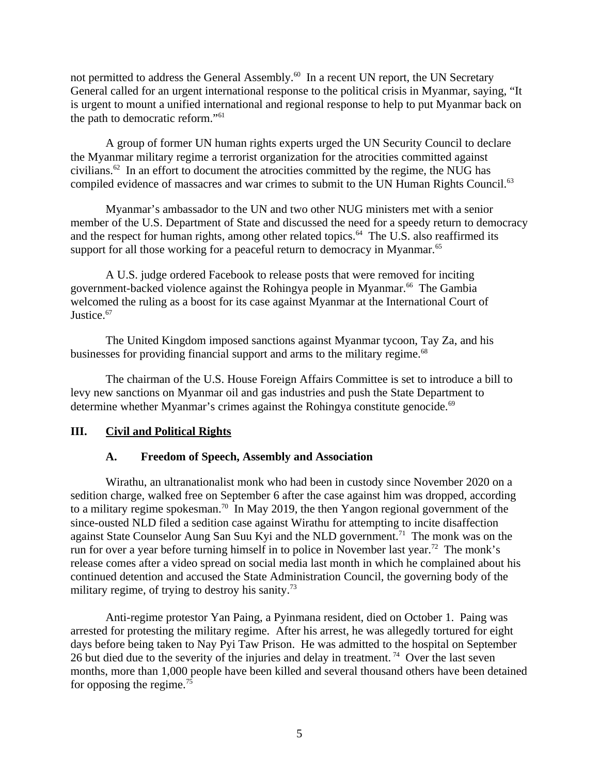not permitted to address the General Assembly.<sup>60</sup> In a recent UN report, the UN Secretary General called for an urgent international response to the political crisis in Myanmar, saying, "It is urgent to mount a unified international and regional response to help to put Myanmar back on the path to democratic reform."<sup>61</sup>

A group of former UN human rights experts urged the UN Security Council to declare the Myanmar military regime a terrorist organization for the atrocities committed against civilians. $62$  In an effort to document the atrocities committed by the regime, the NUG has compiled evidence of massacres and war crimes to submit to the UN Human Rights Council.<sup>63</sup>

Myanmar's ambassador to the UN and two other NUG ministers met with a senior member of the U.S. Department of State and discussed the need for a speedy return to democracy and the respect for human rights, among other related topics.<sup>64</sup> The U.S. also reaffirmed its support for all those working for a peaceful return to democracy in Myanmar.<sup>65</sup>

A U.S. judge ordered Facebook to release posts that were removed for inciting government-backed violence against the Rohingya people in Myanmar.<sup>66</sup> The Gambia welcomed the ruling as a boost for its case against Myanmar at the International Court of Justice.<sup>67</sup>

The United Kingdom imposed sanctions against Myanmar tycoon, Tay Za, and his businesses for providing financial support and arms to the military regime.<sup>68</sup>

The chairman of the U.S. House Foreign Affairs Committee is set to introduce a bill to levy new sanctions on Myanmar oil and gas industries and push the State Department to determine whether Myanmar's crimes against the Rohingya constitute genocide. $69$ 

#### **III. Civil and Political Rights**

## <span id="page-4-1"></span><span id="page-4-0"></span>**A. Freedom of Speech, Assembly and Association**

Wirathu, an ultranationalist monk who had been in custody since November 2020 on a sedition charge, walked free on September 6 after the case against him was dropped, according to a military regime spokesman.<sup>70</sup> In May 2019, the then Yangon regional government of the since-ousted NLD filed a sedition case against Wirathu for attempting to incite disaffection against State Counselor Aung San Suu Kyi and the NLD government.<sup>71</sup> The monk was on the run for over a year before turning himself in to police in November last year.<sup>72</sup> The monk's release comes after a video spread on social media last month in which he complained about his continued detention and accused the State Administration Council, the governing body of the military regime, of trying to destroy his sanity.<sup>73</sup>

Anti-regime protestor Yan Paing, a Pyinmana resident, died on October 1. Paing was arrested for protesting the military regime. After his arrest, he was allegedly tortured for eight days before being taken to Nay Pyi Taw Prison. He was admitted to the hospital on September 26 but died due to the severity of the injuries and delay in treatment.<sup>74</sup> Over the last seven months, more than 1,000 people have been killed and several thousand others have been detained for opposing the regime.<sup>75</sup>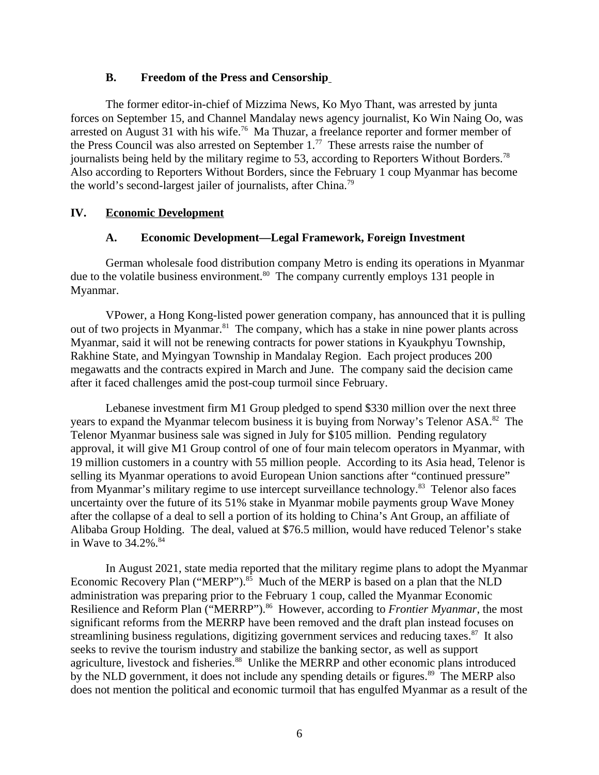#### <span id="page-5-2"></span>**B. Freedom of the Press and Censorship**

The former editor-in-chief of Mizzima News, Ko Myo Thant, was arrested by junta forces on September 15, and Channel Mandalay news agency journalist, Ko Win Naing Oo, was arrested on August 31 with his wife.<sup>76</sup> Ma Thuzar, a freelance reporter and former member of the Press Council was also arrested on September  $1.^{77}$  These arrests raise the number of journalists being held by the military regime to 53, according to Reporters Without Borders.<sup>78</sup> Also according to Reporters Without Borders, since the February 1 coup Myanmar has become the world's second-largest jailer of journalists, after China.<sup>79</sup>

### **IV. Economic Development**

### <span id="page-5-1"></span><span id="page-5-0"></span>**A. Economic Development—Legal Framework, Foreign Investment**

German wholesale food distribution company Metro is ending its operations in Myanmar due to the volatile business environment.<sup>80</sup> The company currently employs 131 people in Myanmar.

VPower, a Hong Kong-listed power generation company, has announced that it is pulling out of two projects in Myanmar. $81$  The company, which has a stake in nine power plants across Myanmar, said it will not be renewing contracts for power stations in Kyaukphyu Township, Rakhine State, and Myingyan Township in Mandalay Region. Each project produces 200 megawatts and the contracts expired in March and June. The company said the decision came after it faced challenges amid the post-coup turmoil since February.

Lebanese investment firm M1 Group pledged to spend \$330 million over the next three years to expand the Myanmar telecom business it is buying from Norway's Telenor ASA.<sup>82</sup> The Telenor Myanmar business sale was signed in July for \$105 million. Pending regulatory approval, it will give M1 Group control of one of four main telecom operators in Myanmar, with 19 million customers in a country with 55 million people. According to its Asia head, Telenor is selling its Myanmar operations to avoid European Union sanctions after "continued pressure" from Myanmar's military regime to use intercept surveillance technology.<sup>83</sup> Telenor also faces uncertainty over the future of its 51% stake in Myanmar mobile payments group Wave Money after the collapse of a deal to sell a portion of its holding to China's Ant Group, an affiliate of Alibaba Group Holding. The deal, valued at \$76.5 million, would have reduced Telenor's stake in Wave to  $34.2\%$ .  $84$ 

In August 2021, state media reported that the military regime plans to adopt the Myanmar Economic Recovery Plan ("MERP"). $85$  Much of the MERP is based on a plan that the NLD administration was preparing prior to the February 1 coup, called the Myanmar Economic Resilience and Reform Plan ("MERRP").<sup>86</sup> However, according to *Frontier Myanmar*, the most significant reforms from the MERRP have been removed and the draft plan instead focuses on streamlining business regulations, digitizing government services and reducing taxes. $87$  It also seeks to revive the tourism industry and stabilize the banking sector, as well as support agriculture, livestock and fisheries.<sup>88</sup> Unlike the MERRP and other economic plans introduced by the NLD government, it does not include any spending details or figures. $89$  The MERP also does not mention the political and economic turmoil that has engulfed Myanmar as a result of the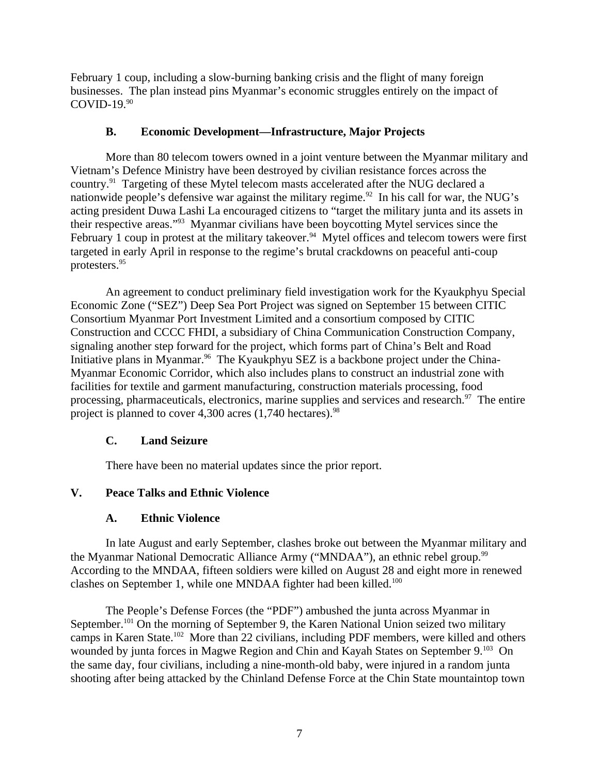February 1 coup, including a slow-burning banking crisis and the flight of many foreign businesses. The plan instead pins Myanmar's economic struggles entirely on the impact of  $COVID-19.<sup>90</sup>$ 

## <span id="page-6-3"></span>**B. Economic Development—Infrastructure, Major Projects**

More than 80 telecom towers owned in a joint venture between the Myanmar military and Vietnam's Defence Ministry have been destroyed by civilian resistance forces across the country.<sup>91</sup> Targeting of these Mytel telecom masts accelerated after the NUG declared a nationwide people's defensive war against the military regime.<sup>92</sup> In his call for war, the NUG's acting president Duwa Lashi La encouraged citizens to "target the military junta and its assets in their respective areas."<sup>93</sup> Myanmar civilians have been boycotting Mytel services since the February 1 coup in protest at the military takeover.<sup>94</sup> Mytel offices and telecom towers were first targeted in early April in response to the regime's brutal crackdowns on peaceful anti-coup protesters.<sup>95</sup>

An agreement to conduct preliminary field investigation work for the Kyaukphyu Special Economic Zone ("SEZ") Deep Sea Port Project was signed on September 15 between CITIC Consortium Myanmar Port Investment Limited and a consortium composed by CITIC Construction and CCCC FHDI, a subsidiary of China Communication Construction Company, signaling another step forward for the project, which forms part of China's Belt and Road Initiative plans in Myanmar.<sup>96</sup> The Kyaukphyu SEZ is a backbone project under the China-Myanmar Economic Corridor, which also includes plans to construct an industrial zone with facilities for textile and garment manufacturing, construction materials processing, food processing, pharmaceuticals, electronics, marine supplies and services and research.<sup>97</sup> The entire project is planned to cover 4,300 acres  $(1,740$  hectares).<sup>98</sup>

# <span id="page-6-2"></span>**C. Land Seizure**

<span id="page-6-1"></span>There have been no material updates since the prior report.

# **V. Peace Talks and Ethnic Violence**

# <span id="page-6-0"></span>**A. Ethnic Violence**

In late August and early September, clashes broke out between the Myanmar military and the Myanmar National Democratic Alliance Army ("MNDAA"), an ethnic rebel group.<sup>99</sup> According to the MNDAA, fifteen soldiers were killed on August 28 and eight more in renewed clashes on September 1, while one MNDAA fighter had been killed.<sup>100</sup>

The People's Defense Forces (the "PDF") ambushed the junta across Myanmar in September.<sup>101</sup> On the morning of September 9, the Karen National Union seized two military camps in Karen State.<sup>102</sup> More than 22 civilians, including PDF members, were killed and others wounded by junta forces in Magwe Region and Chin and Kayah States on September 9.<sup>103</sup> On the same day, four civilians, including a nine-month-old baby, were injured in a random junta shooting after being attacked by the Chinland Defense Force at the Chin State mountaintop town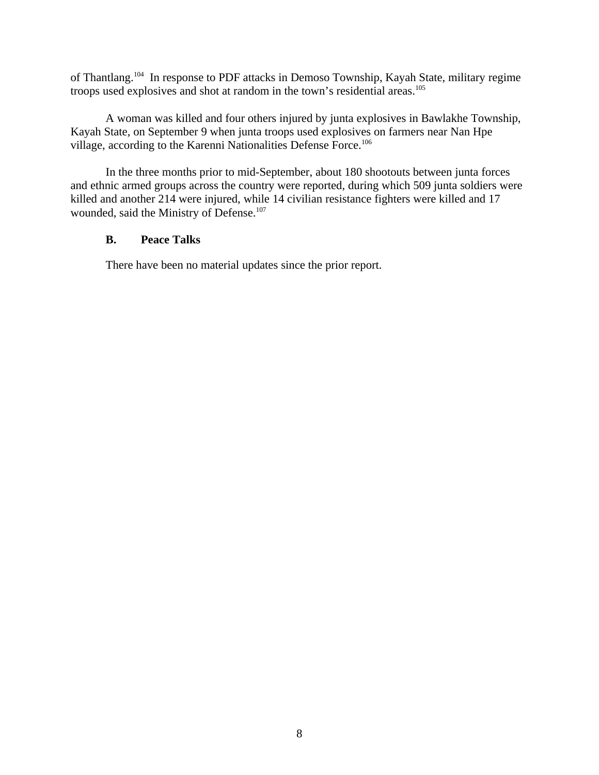of Thantlang.<sup>104</sup> In response to PDF attacks in Demoso Township, Kayah State, military regime troops used explosives and shot at random in the town's residential areas.<sup>105</sup>

A woman was killed and four others injured by junta explosives in Bawlakhe Township, Kayah State, on September 9 when junta troops used explosives on farmers near Nan Hpe village, according to the Karenni Nationalities Defense Force.<sup>106</sup>

In the three months prior to mid-September, about 180 shootouts between junta forces and ethnic armed groups across the country were reported, during which 509 junta soldiers were killed and another 214 were injured, while 14 civilian resistance fighters were killed and 17 wounded, said the Ministry of Defense.<sup>107</sup>

#### <span id="page-7-0"></span>**B. Peace Talks**

There have been no material updates since the prior report.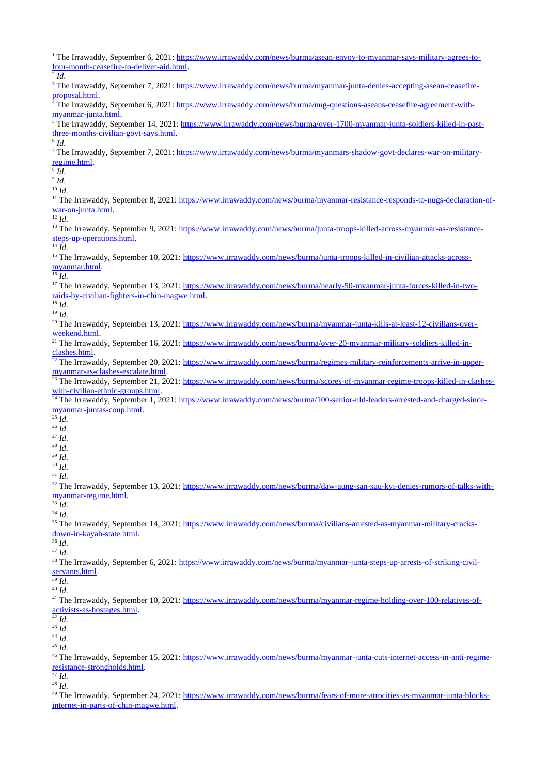| four-month-ceasefire-to-deliver-aid.html.                                                                                                                                        |
|----------------------------------------------------------------------------------------------------------------------------------------------------------------------------------|
| $^{2}$ Id.                                                                                                                                                                       |
| <sup>3</sup> The Irrawaddy, September 7, 2021: https://www.irrawaddy.com/news/burma/myanmar-junta-denies-accepting-asean-ceasefire-                                              |
| proposal.html.                                                                                                                                                                   |
| <sup>4</sup> The Irrawaddy, September 6, 2021: https://www.irrawaddy.com/news/burma/nug-questions-aseans-ceasefire-agreement-with-                                               |
| myanmar-junta.html.                                                                                                                                                              |
| <sup>5</sup> The Irrawaddy, September 14, 2021: https://www.irrawaddy.com/news/burma/over-1700-myanmar-junta-soldiers-killed-in-past-                                            |
| three-months-civilian-govt-says.html.                                                                                                                                            |
| $^6$ $\mbox{Id.}$                                                                                                                                                                |
| <sup>7</sup> The Irrawaddy, September 7, 2021: https://www.irrawaddy.com/news/burma/myanmars-shadow-govt-declares-war-on-military-                                               |
| regime.html.                                                                                                                                                                     |
| $\overline{^{8}}\overline{Id}$ .                                                                                                                                                 |
| $^9$ Id.                                                                                                                                                                         |
| $10$ Id.                                                                                                                                                                         |
| <sup>11</sup> The Irrawaddy, September 8, 2021: https://www.irrawaddy.com/news/burma/myanmar-resistance-responds-to-nugs-declaration-of-                                         |
| war-on-junta.html.                                                                                                                                                               |
| $12$ Id.                                                                                                                                                                         |
| <sup>13</sup> The Irrawaddy, September 9, 2021: https://www.irrawaddy.com/news/burma/junta-troops-killed-across-myanmar-as-resistance-                                           |
| steps-up-operations.html.                                                                                                                                                        |
| $\overline{^{14} \text{ Id}}$ .                                                                                                                                                  |
| <sup>15</sup> The Irrawaddy, September 10, 2021: https://www.irrawaddy.com/news/burma/junta-troops-killed-in-civilian-attacks-across-                                            |
| myanmar.html.                                                                                                                                                                    |
| $16$ Id.                                                                                                                                                                         |
| <sup>17</sup> The Irrawaddy, September 13, 2021: https://www.irrawaddy.com/news/burma/nearly-50-myanmar-junta-forces-killed-in-two-                                              |
| raids-by-civilian-fighters-in-chin-magwe.html.                                                                                                                                   |
| $18$ Id.                                                                                                                                                                         |
| $19$ Id.                                                                                                                                                                         |
| <sup>20</sup> The Irrawaddy, September 13, 2021: https://www.irrawaddy.com/news/burma/myanmar-junta-kills-at-least-12-civilians-over-                                            |
| weekend.html.                                                                                                                                                                    |
| <sup>21</sup> The Irrawaddy, September 16, 2021: https://www.irrawaddy.com/news/burma/over-20-myanmar-military-soldiers-killed-in-                                               |
| clashes.html.                                                                                                                                                                    |
| <sup>22</sup> The Irrawaddy, September 20, 2021: https://www.irrawaddy.com/news/burma/regimes-military-reinforcements-arrive-in-upper-                                           |
| myanmar-as-clashes-escalate.html.                                                                                                                                                |
| <sup>23</sup> The Irrawaddy, September 21, 2021: https://www.irrawaddy.com/news/burma/scores-of-myanmar-regime-troops-killed-in-clashes-                                         |
| with-civilian-ethnic-groups.html.                                                                                                                                                |
| <sup>24</sup> The Irrawaddy, September 1, 2021: https://www.irrawaddy.com/news/burma/100-senior-nld-leaders-arrested-and-charged-since-                                          |
| myanmar-juntas-coup.html.                                                                                                                                                        |
| $^{25}$ Id.                                                                                                                                                                      |
| $26$ Id.                                                                                                                                                                         |
| $27$ Id.                                                                                                                                                                         |
| $^{28}$ Id.                                                                                                                                                                      |
|                                                                                                                                                                                  |
|                                                                                                                                                                                  |
| $^\mathrm{29}$ Id.                                                                                                                                                               |
| $^{\rm 30}$ Id.                                                                                                                                                                  |
| $31$ Id.                                                                                                                                                                         |
| <sup>32</sup> The Irrawaddy, September 13, 2021: https://www.irrawaddy.com/news/burma/daw-aung-san-suu-kyi-denies-rumors-of-talks-with-                                          |
| myanmar-regime.html.                                                                                                                                                             |
| $33$ Id.                                                                                                                                                                         |
| $34$ Id.                                                                                                                                                                         |
| <sup>35</sup> The Irrawaddy, September 14, 2021: https://www.irrawaddy.com/news/burma/civilians-arrested-as-myanmar-military-cracks-                                             |
| down-in-kayah-state.html.                                                                                                                                                        |
| $36$ Id.                                                                                                                                                                         |
| $37$ Id.                                                                                                                                                                         |
| <sup>38</sup> The Irrawaddy, September 6, 2021: https://www.irrawaddy.com/news/burma/myanmar-junta-steps-up-arrests-of-striking-civil-                                           |
| servants.html.                                                                                                                                                                   |
| $^{39}$ Id.                                                                                                                                                                      |
| $40$ Id.                                                                                                                                                                         |
| <sup>41</sup> The Irrawaddy, September 10, 2021: https://www.irrawaddy.com/news/burma/myanmar-regime-holding-over-100-relatives-of-                                              |
| activists-as-hostages.html.                                                                                                                                                      |
| $^{42}$ Id.                                                                                                                                                                      |
| $^{43}$ Id.                                                                                                                                                                      |
| $^{44}$ Id.                                                                                                                                                                      |
| $45$ Id.                                                                                                                                                                         |
| <sup>46</sup> The Irrawaddy, September 15, 2021: https://www.irrawaddy.com/news/burma/myanmar-junta-cuts-internet-access-in-anti-regime-                                         |
| resistance-strongholds.html.                                                                                                                                                     |
| $^{47}$ Id.                                                                                                                                                                      |
| $48$ Id.                                                                                                                                                                         |
| <sup>49</sup> The Irrawaddy, September 24, 2021: https://www.irrawaddy.com/news/burma/fears-of-more-atrocities-as-myanmar-junta-blocks-<br>internet-in-parts-of-chin-magwe.html. |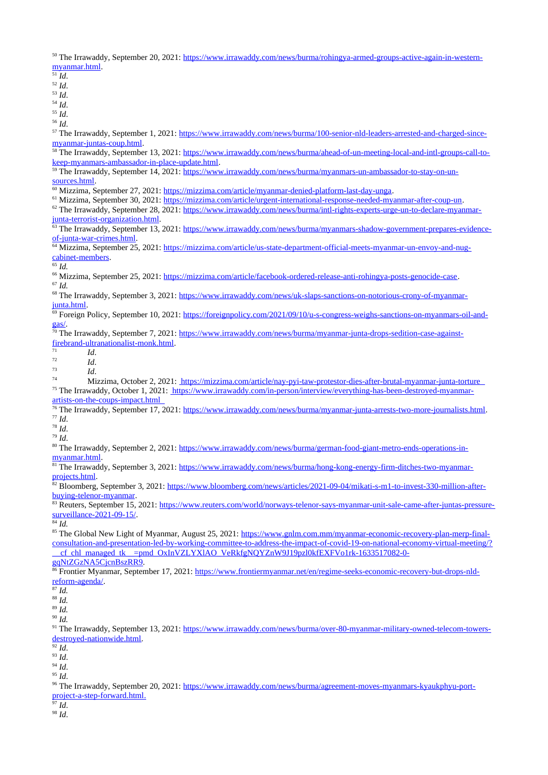50 The Irrawaddy, September 20, 2021: [https://www.irrawaddy.com/news/burma/rohingya-armed-groups-active-again-in-western](https://www.irrawaddy.com/news/burma/rohingya-armed-groups-active-again-in-western-myanmar.html)[myanmar.html.](https://www.irrawaddy.com/news/burma/rohingya-armed-groups-active-again-in-western-myanmar.html)

- $\overline{51}$  *Id.*
- <sup>52</sup> *Id*.
- <sup>53</sup> *Id*.
- <sup>54</sup> *Id*.
- <sup>55</sup> *Id*.
- <sup>56</sup> *Id*.

57 The Irrawaddy, September 1, 2021: [https://www.irrawaddy.com/news/burma/100-senior-nld-leaders-arrested-and-charged-since](https://www.irrawaddy.com/news/burma/100-senior-nld-leaders-arrested-and-charged-since-myanmar-juntas-coup.html)[myanmar-juntas-coup.html.](https://www.irrawaddy.com/news/burma/100-senior-nld-leaders-arrested-and-charged-since-myanmar-juntas-coup.html)

<sup>58</sup> The Irrawaddy, September 13, 2021: [https://www.irrawaddy.com/news/burma/ahead-of-un-meeting-local-and-intl-groups-call-to](https://www.irrawaddy.com/news/burma/ahead-of-un-meeting-local-and-intl-groups-call-to-keep-myanmars-ambassador-in-place-update.html)[keep-myanmars-ambassador-in-place-update.html.](https://www.irrawaddy.com/news/burma/ahead-of-un-meeting-local-and-intl-groups-call-to-keep-myanmars-ambassador-in-place-update.html)

<sup>59</sup> The Irrawaddy, September 14, 2021: [https://www.irrawaddy.com/news/burma/myanmars-un-ambassador-to-stay-on-un](https://www.irrawaddy.com/news/burma/myanmars-un-ambassador-to-stay-on-un-sources.html)[sources.html.](https://www.irrawaddy.com/news/burma/myanmars-un-ambassador-to-stay-on-un-sources.html)

<sup>60</sup> Mizzima, September 27, 2021: [https://mizzima.com/article/myanmar-denied-platform-last-day-unga.](https://mizzima.com/article/myanmar-denied-platform-last-day-unga)

<sup>61</sup> Mizzima, September 30, 2021: [https://mizzima.com/article/urgent-international-response-needed-myanmar-after-coup-un.](https://mizzima.com/article/urgent-international-response-needed-myanmar-after-coup-un)

<sup>62</sup> The Irrawaddy, September 28, 2021: [https://www.irrawaddy.com/news/burma/intl-rights-experts-urge-un-to-declare-myanmar](https://www.irrawaddy.com/news/burma/intl-rights-experts-urge-un-to-declare-myanmar-junta-terrorist-organization.html)[junta-terrorist-organization.html.](https://www.irrawaddy.com/news/burma/intl-rights-experts-urge-un-to-declare-myanmar-junta-terrorist-organization.html)

<sup>63</sup> The Irrawaddy, September 13, 2021: [https://www.irrawaddy.com/news/burma/myanmars-shadow-government-prepares-evidence](https://www.irrawaddy.com/news/burma/myanmars-shadow-government-prepares-evidence-of-junta-war-crimes.html)[of-junta-war-crimes.html.](https://www.irrawaddy.com/news/burma/myanmars-shadow-government-prepares-evidence-of-junta-war-crimes.html)

<sup>64</sup> Mizzima, September 25, 2021: <u>https://mizzima.com/article/us-state-department-official-meets-myanmar-un-envoy-and-nug-</u> [cabinet-members.](https://mizzima.com/article/us-state-department-official-meets-myanmar-un-envoy-and-nug-cabinet-members)

 $65$  *Id.* 

<sup>66</sup> Mizzima, September 25, 2021: [https://mizzima.com/article/facebook-ordered-release-anti-rohingya-posts-genocide-case.](https://mizzima.com/article/facebook-ordered-release-anti-rohingya-posts-genocide-case) <sup>67</sup> *Id.*

<sup>68</sup> The Irrawaddy, September 3, 2021: [https://www.irrawaddy.com/news/uk-slaps-sanctions-on-notorious-crony-of-myanmar-](https://www.irrawaddy.com/news/uk-slaps-sanctions-on-notorious-crony-of-myanmar-junta.html)

[junta.html.](https://www.irrawaddy.com/news/uk-slaps-sanctions-on-notorious-crony-of-myanmar-junta.html) <sup>69</sup> Foreign Policy, September 10, 2021: [https://foreignpolicy.com/2021/09/10/u-s-congress-weighs-sanctions-on-myanmars-oil-and](https://foreignpolicy.com/2021/09/10/u-s-congress-weighs-sanctions-on-myanmars-oil-and-gas/)[gas/.](https://foreignpolicy.com/2021/09/10/u-s-congress-weighs-sanctions-on-myanmars-oil-and-gas/)

<sup>70</sup> The Irrawaddy, September 7, 2021: [https://www.irrawaddy.com/news/burma/myanmar-junta-drops-sedition-case-against](https://www.irrawaddy.com/news/burma/myanmar-junta-drops-sedition-case-against-firebrand-ultranationalist-monk.html)[firebrand-ultranationalist-monk.html.](https://www.irrawaddy.com/news/burma/myanmar-junta-drops-sedition-case-against-firebrand-ultranationalist-monk.html)

 $\frac{71}{72}$  *Id.* 

 $\frac{72}{73}$  *Id.* 

 $\frac{73}{74}$  *Id.* 

<sup>74</sup> Mizzima, October 2, 2021: [https://mizzima.com/article/nay-pyi-taw-protestor-dies-after-brutal-myanmar-junta-torture](file:///C:%5CUsers%5C16282%5CAppData%5CLocal%5CMicrosoft%5CWindows%5CINetCache%5CContent.Outlook%5CEGEXD8J7%5C%20https:%5Cmizzima.com%5Carticle%5Cnay-pyi-taw-protestor-dies-after-brutal-myanmar-junta-torture%20%20)  <sup>75</sup> The Irrawaddy, October 1, 2021: [https://www.irrawaddy.com/in-person/interview/everything-has-been-destroyed-myanmar-](file:///C:%5CUsers%5C16282%5CAppData%5CLocal%5CMicrosoft%5CWindows%5CINetCache%5CContent.Outlook%5CEGEXD8J7%5C%20https:%5Cmizzima.com%5Carticle%5Cnay-pyi-taw-protestor-dies-after-brutal-myanmar-junta-torture%20%20)

[artists-on-the-coups-impact.html](file:///C:%5CUsers%5C16282%5CAppData%5CLocal%5CMicrosoft%5CWindows%5CINetCache%5CContent.Outlook%5CEGEXD8J7%5C%20https:%5Cmizzima.com%5Carticle%5Cnay-pyi-taw-protestor-dies-after-brutal-myanmar-junta-torture%20%20) 

<sup>76</sup> The Irrawaddy, September 17, 2021: [https://www.irrawaddy.com/news/burma/myanmar-junta-arrests-two-more-journalists.html.](https://www.irrawaddy.com/news/burma/myanmar-junta-arrests-two-more-journalists.html) <sup>77</sup> *Id*.

<sup>78</sup> *Id*.

<sup>79</sup> *Id*.

<sup>80</sup> The Irrawaddy, September 2, 2021: [https://www.irrawaddy.com/news/burma/german-food-giant-metro-ends-operations-in](https://www.irrawaddy.com/news/burma/german-food-giant-metro-ends-operations-in-myanmar.html)[myanmar.html.](https://www.irrawaddy.com/news/burma/german-food-giant-metro-ends-operations-in-myanmar.html)

<sup>81</sup> The Irrawaddy, September 3, 2021: [https://www.irrawaddy.com/news/burma/hong-kong-energy-firm-ditches-two-myanmar](https://www.irrawaddy.com/news/burma/hong-kong-energy-firm-ditches-two-myanmar-projects.html)[projects.html.](https://www.irrawaddy.com/news/burma/hong-kong-energy-firm-ditches-two-myanmar-projects.html)

<sup>32</sup> Bloomberg, September 3, 2021: [https://www.bloomberg.com/news/articles/2021-09-04/mikati-s-m1-to-invest-330-million-after](https://www.bloomberg.com/news/articles/2021-09-04/mikati-s-m1-to-invest-330-million-after-buying-telenor-myanmar)[buying-telenor-myanmar.](https://www.bloomberg.com/news/articles/2021-09-04/mikati-s-m1-to-invest-330-million-after-buying-telenor-myanmar)

83 Reuters, September 15, 2021: [https://www.reuters.com/world/norways-telenor-says-myanmar-unit-sale-came-after-juntas-pressure](https://www.reuters.com/world/norways-telenor-says-myanmar-unit-sale-came-after-juntas-pressure-surveillance-2021-09-15/)[surveillance-2021-09-15/.](https://www.reuters.com/world/norways-telenor-says-myanmar-unit-sale-came-after-juntas-pressure-surveillance-2021-09-15/)

 $\overline{\overset{84}{64}}$  *Id.* 

<sup>85</sup> The Global New Light of Myanmar, August 25, 2021: [https://www.gnlm.com.mm/myanmar-economic-recovery-plan-merp-final](https://www.gnlm.com.mm/myanmar-economic-recovery-plan-merp-final-consultation-and-presentation-led-by-working-committee-to-address-the-impact-of-covid-19-on-national-economy-virtual-meeting/?__cf_chl_managed_tk__=pmd_OxInVZLYXlAO_VeRkfgNQYZnW9J19pzl0kfEXFVo1rk-1633517082-0-gqNtZGzNA5CjcnBszRR9)[consultation-and-presentation-led-by-working-committee-to-address-the-impact-of-covid-19-on-national-economy-virtual-meeting/?](https://www.gnlm.com.mm/myanmar-economic-recovery-plan-merp-final-consultation-and-presentation-led-by-working-committee-to-address-the-impact-of-covid-19-on-national-economy-virtual-meeting/?__cf_chl_managed_tk__=pmd_OxInVZLYXlAO_VeRkfgNQYZnW9J19pzl0kfEXFVo1rk-1633517082-0-gqNtZGzNA5CjcnBszRR9) \_\_cf\_chl\_managed\_tk\_\_=pmd\_OxInVZLYXlAO\_VeRkfgNQYZnW9J19pzl0kfEXFVo1rk-1633517082-0 [gqNtZGzNA5CjcnBszRR9.](https://www.gnlm.com.mm/myanmar-economic-recovery-plan-merp-final-consultation-and-presentation-led-by-working-committee-to-address-the-impact-of-covid-19-on-national-economy-virtual-meeting/?__cf_chl_managed_tk__=pmd_OxInVZLYXlAO_VeRkfgNQYZnW9J19pzl0kfEXFVo1rk-1633517082-0-gqNtZGzNA5CjcnBszRR9)

86 Frontier Myanmar, September 17, 2021: [https://www.frontiermyanmar.net/en/regime-seeks-economic-recovery-but-drops-nld](https://www.frontiermyanmar.net/en/regime-seeks-economic-recovery-but-drops-nld-reform-agenda/)[reform-agenda/.](https://www.frontiermyanmar.net/en/regime-seeks-economic-recovery-but-drops-nld-reform-agenda/)

<sup>90</sup> *Id.*

<sup>91</sup> The Irrawaddy, September 13, 2021: [https://www.irrawaddy.com/news/burma/over-80-myanmar-military-owned-telecom-towers](https://www.irrawaddy.com/news/burma/over-80-myanmar-military-owned-telecom-towers-destroyed-nationwide.html)[destroyed-nationwide.html.](https://www.irrawaddy.com/news/burma/over-80-myanmar-military-owned-telecom-towers-destroyed-nationwide.html)

 $\overline{\overset{92}{10}}$ .

<sup>93</sup> *Id*.

<sup>94</sup> *Id*.

<sup>95</sup> *Id*.

96 The Irrawaddy, September 20, 2021: [https://www.irrawaddy.com/news/burma/agreement-moves-myanmars-kyaukphyu-port](https://www.irrawaddy.com/news/burma/agreement-moves-myanmars-kyaukphyu-port-project-a-step-forward.html)  [project-a-step-forward.html.](https://www.irrawaddy.com/news/burma/agreement-moves-myanmars-kyaukphyu-port-project-a-step-forward.html)

<sup>97</sup> *Id*.

<sup>98</sup> *Id*.

 $87 \overline{Id}$ .

<sup>88</sup> *Id.*

<sup>89</sup> *Id.*